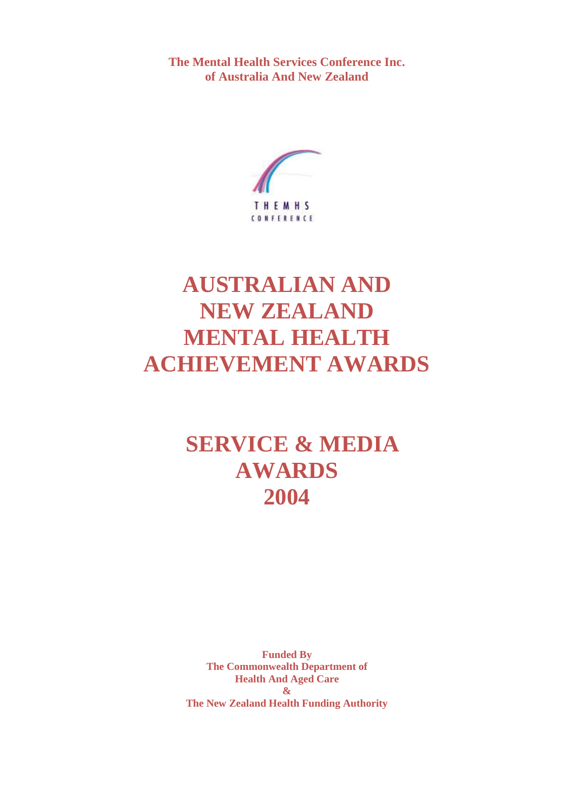**The Mental Health Services Conference Inc. of Australia And New Zealand**



# **AUSTRALIAN AND NEW ZEALAND MENTAL HEALTH ACHIEVEMENT AWARDS**

# **SERVICE & MEDIA AWARDS 2004**

**Funded By The Commonwealth Department of Health And Aged Care & The New Zealand Health Funding Authority**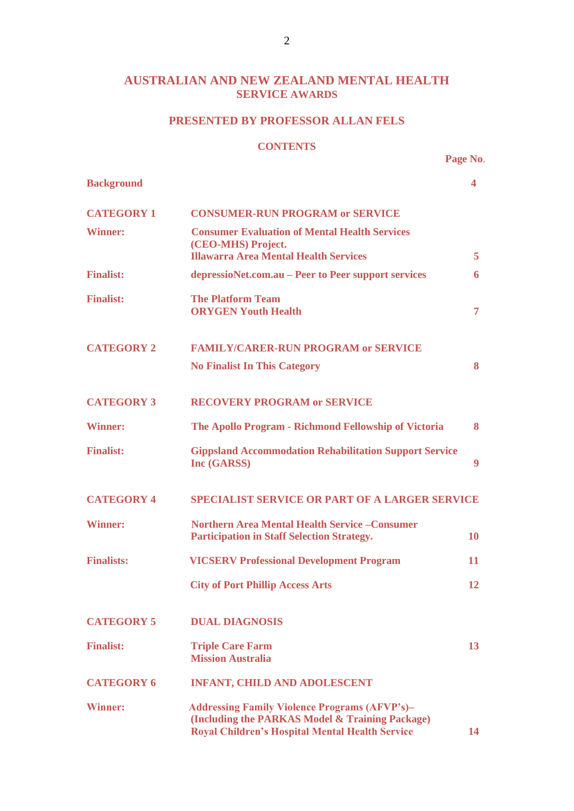# **AUSTRALIAN AND NEW ZEALAND MENTAL HEALTH SERVICE AWARDS**

# **PRESENTED BY PROFESSOR ALLAN FELS**

#### **CONTENTS**

**Page No**.

| <b>Background</b> |                                                                                                                                                                   | 4         |
|-------------------|-------------------------------------------------------------------------------------------------------------------------------------------------------------------|-----------|
| <b>CATEGORY 1</b> | <b>CONSUMER-RUN PROGRAM or SERVICE</b>                                                                                                                            |           |
| <b>Winner:</b>    | <b>Consumer Evaluation of Mental Health Services</b><br>(CEO-MHS) Project.<br><b>Illawarra Area Mental Health Services</b>                                        | 5         |
| <b>Finalist:</b>  | depressioNet.com.au – Peer to Peer support services                                                                                                               | 6         |
| <b>Finalist:</b>  | <b>The Platform Team</b><br><b>ORYGEN Youth Health</b>                                                                                                            | 7         |
| <b>CATEGORY 2</b> | <b>FAMILY/CARER-RUN PROGRAM or SERVICE</b>                                                                                                                        |           |
|                   | <b>No Finalist In This Category</b>                                                                                                                               | 8         |
| <b>CATEGORY 3</b> | <b>RECOVERY PROGRAM or SERVICE</b>                                                                                                                                |           |
| <b>Winner:</b>    | The Apollo Program - Richmond Fellowship of Victoria                                                                                                              | 8         |
| <b>Finalist:</b>  | <b>Gippsland Accommodation Rehabilitation Support Service</b><br>Inc (GARSS)                                                                                      | 9         |
| <b>CATEGORY 4</b> | <b>SPECIALIST SERVICE OR PART OF A LARGER SERVICE</b>                                                                                                             |           |
| <b>Winner:</b>    | <b>Northern Area Mental Health Service – Consumer</b><br><b>Participation in Staff Selection Strategy.</b>                                                        | <b>10</b> |
| <b>Finalists:</b> | <b>VICSERV Professional Development Program</b>                                                                                                                   | 11        |
|                   | <b>City of Port Phillip Access Arts</b>                                                                                                                           | 12        |
| <b>CATEGORY 5</b> | <b>DUAL DIAGNOSIS</b>                                                                                                                                             |           |
| <b>Finalist:</b>  | <b>Triple Care Farm</b><br><b>Mission Australia</b>                                                                                                               | 13        |
| <b>CATEGORY 6</b> | <b>INFANT, CHILD AND ADOLESCENT</b>                                                                                                                               |           |
| Winner:           | <b>Addressing Family Violence Programs (AFVP's)-</b><br>(Including the PARKAS Model & Training Package)<br><b>Royal Children's Hospital Mental Health Service</b> | 14        |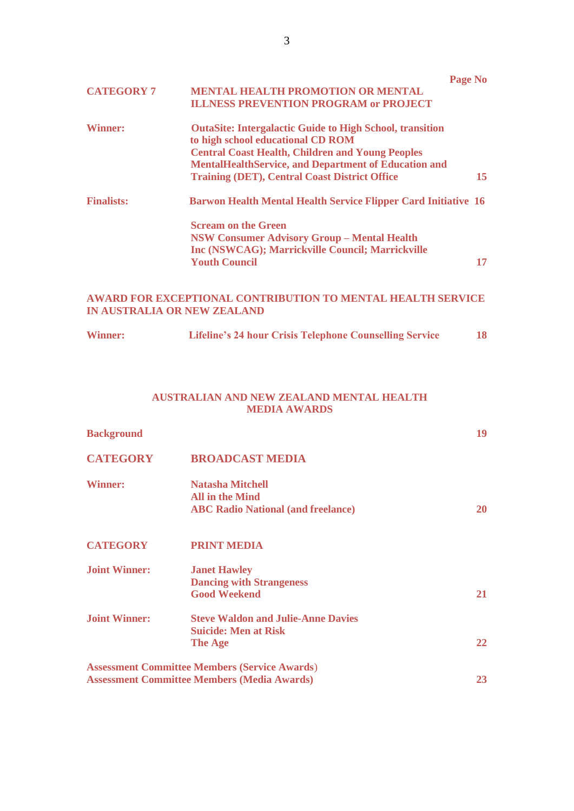|                   |                                                                       | Page No |
|-------------------|-----------------------------------------------------------------------|---------|
| <b>CATEGORY 7</b> | <b>MENTAL HEALTH PROMOTION OR MENTAL</b>                              |         |
|                   | <b>ILLNESS PREVENTION PROGRAM or PROJECT</b>                          |         |
| <b>Winner:</b>    | <b>OutaSite: Intergalactic Guide to High School, transition</b>       |         |
|                   | to high school educational CD ROM                                     |         |
|                   | <b>Central Coast Health, Children and Young Peoples</b>               |         |
|                   | <b>MentalHealthService, and Department of Education and</b>           |         |
|                   | <b>Training (DET), Central Coast District Office</b>                  | 15      |
| <b>Finalists:</b> | <b>Barwon Health Mental Health Service Flipper Card Initiative 16</b> |         |
|                   | <b>Scream on the Green</b>                                            |         |
|                   | <b>NSW Consumer Advisory Group - Mental Health</b>                    |         |
|                   | <b>Inc (NSWCAG); Marrickville Council; Marrickville</b>               |         |
|                   | <b>Youth Council</b>                                                  | 17      |
|                   |                                                                       |         |

# **AWARD FOR EXCEPTIONAL CONTRIBUTION TO MENTAL HEALTH SERVICE IN AUSTRALIA OR NEW ZEALAND**

| <b>Winner:</b><br><b>Lifeline's 24 hour Crisis Telephone Counselling Service</b> |  |
|----------------------------------------------------------------------------------|--|
|----------------------------------------------------------------------------------|--|

# **AUSTRALIAN AND NEW ZEALAND MENTAL HEALTH MEDIA AWARDS**

| <b>Background</b>    |                                                                                                            | 19        |
|----------------------|------------------------------------------------------------------------------------------------------------|-----------|
| <b>CATEGORY</b>      | <b>BROADCAST MEDIA</b>                                                                                     |           |
| <b>Winner:</b>       | <b>Natasha Mitchell</b><br><b>All in the Mind</b><br><b>ABC Radio National (and freelance)</b>             | 20        |
| <b>CATEGORY</b>      | <b>PRINT MEDIA</b>                                                                                         |           |
| <b>Joint Winner:</b> | <b>Janet Hawley</b><br><b>Dancing with Strangeness</b><br><b>Good Weekend</b>                              | <b>21</b> |
| <b>Joint Winner:</b> | <b>Steve Waldon and Julie-Anne Davies</b><br><b>Suicide: Men at Risk</b><br>The Age                        | 22        |
|                      | <b>Assessment Committee Members (Service Awards)</b><br><b>Assessment Committee Members (Media Awards)</b> | 23        |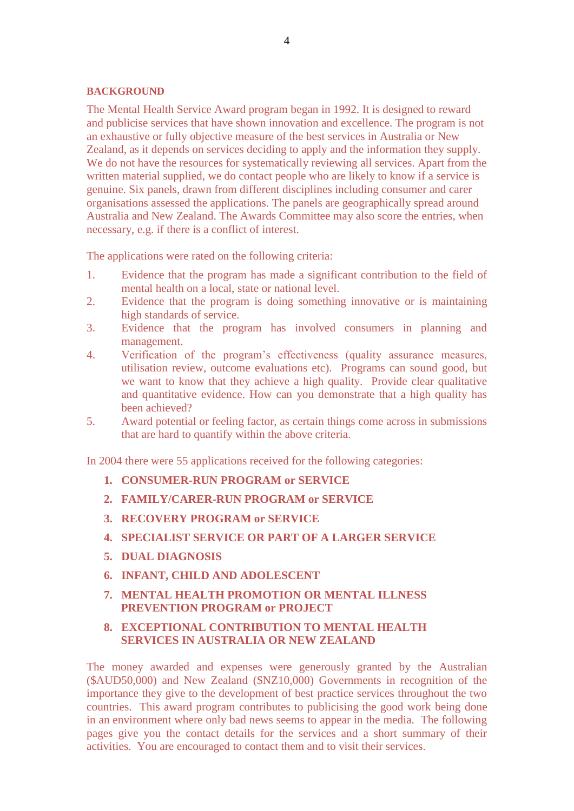#### **BACKGROUND**

The Mental Health Service Award program began in 1992. It is designed to reward and publicise services that have shown innovation and excellence. The program is not an exhaustive or fully objective measure of the best services in Australia or New Zealand, as it depends on services deciding to apply and the information they supply. We do not have the resources for systematically reviewing all services. Apart from the written material supplied, we do contact people who are likely to know if a service is genuine. Six panels, drawn from different disciplines including consumer and carer organisations assessed the applications. The panels are geographically spread around Australia and New Zealand. The Awards Committee may also score the entries, when necessary, e.g. if there is a conflict of interest.

The applications were rated on the following criteria:

- 1. Evidence that the program has made a significant contribution to the field of mental health on a local, state or national level.
- 2. Evidence that the program is doing something innovative or is maintaining high standards of service.
- 3. Evidence that the program has involved consumers in planning and management.
- 4. Verification of the program's effectiveness (quality assurance measures, utilisation review, outcome evaluations etc). Programs can sound good, but we want to know that they achieve a high quality. Provide clear qualitative and quantitative evidence. How can you demonstrate that a high quality has been achieved?
- 5. Award potential or feeling factor, as certain things come across in submissions that are hard to quantify within the above criteria.

In 2004 there were 55 applications received for the following categories:

- **1. CONSUMER-RUN PROGRAM or SERVICE**
- **2. FAMILY/CARER-RUN PROGRAM or SERVICE**
- **3. RECOVERY PROGRAM or SERVICE**
- **4. SPECIALIST SERVICE OR PART OF A LARGER SERVICE**
- **5. DUAL DIAGNOSIS**
- **6. INFANT, CHILD AND ADOLESCENT**
- **7. MENTAL HEALTH PROMOTION OR MENTAL ILLNESS PREVENTION PROGRAM or PROJECT**
- **8. EXCEPTIONAL CONTRIBUTION TO MENTAL HEALTH SERVICES IN AUSTRALIA OR NEW ZEALAND**

The money awarded and expenses were generously granted by the Australian (\$AUD50,000) and New Zealand (\$NZ10,000) Governments in recognition of the importance they give to the development of best practice services throughout the two countries. This award program contributes to publicising the good work being done in an environment where only bad news seems to appear in the media. The following pages give you the contact details for the services and a short summary of their activities. You are encouraged to contact them and to visit their services.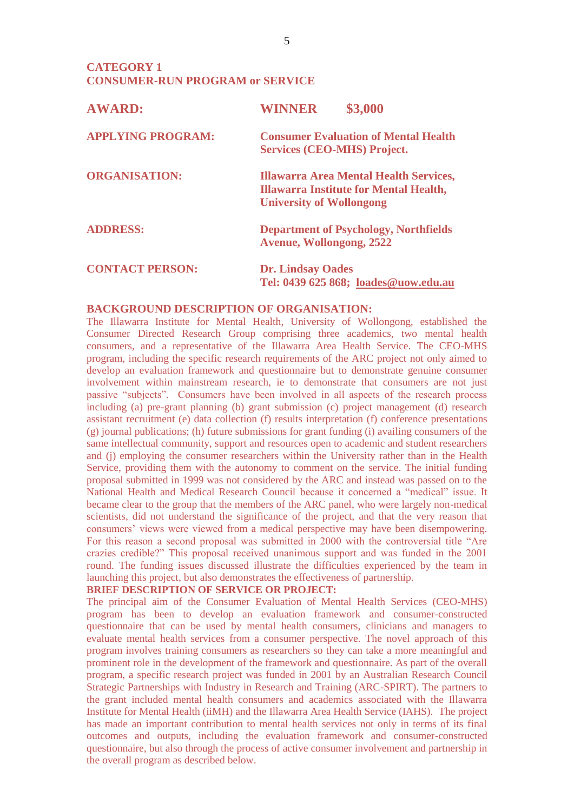# **CATEGORY 1 CONSUMER-RUN PROGRAM or SERVICE**

| <b>AWARD:</b>            | \$3,000<br><b>WINNER</b>                                                                                                          |
|--------------------------|-----------------------------------------------------------------------------------------------------------------------------------|
| <b>APPLYING PROGRAM:</b> | <b>Consumer Evaluation of Mental Health</b><br><b>Services (CEO-MHS) Project.</b>                                                 |
| <b>ORGANISATION:</b>     | <b>Illawarra Area Mental Health Services,</b><br><b>Illawarra Institute for Mental Health,</b><br><b>University of Wollongong</b> |
| <b>ADDRESS:</b>          | <b>Department of Psychology, Northfields</b><br><b>Avenue, Wollongong, 2522</b>                                                   |
| <b>CONTACT PERSON:</b>   | <b>Dr. Lindsay Oades</b><br>Tel: 0439 625 868; loades@uow.edu.au                                                                  |

#### **BACKGROUND DESCRIPTION OF ORGANISATION:**

The Illawarra Institute for Mental Health, University of Wollongong, established the Consumer Directed Research Group comprising three academics, two mental health consumers, and a representative of the Illawarra Area Health Service. The CEO-MHS program, including the specific research requirements of the ARC project not only aimed to develop an evaluation framework and questionnaire but to demonstrate genuine consumer involvement within mainstream research, ie to demonstrate that consumers are not just passive "subjects". Consumers have been involved in all aspects of the research process including (a) pre-grant planning (b) grant submission (c) project management (d) research assistant recruitment (e) data collection (f) results interpretation (f) conference presentations (g) journal publications; (h) future submissions for grant funding (i) availing consumers of the same intellectual community, support and resources open to academic and student researchers and (i) employing the consumer researchers within the University rather than in the Health Service, providing them with the autonomy to comment on the service. The initial funding proposal submitted in 1999 was not considered by the ARC and instead was passed on to the National Health and Medical Research Council because it concerned a "medical" issue. It became clear to the group that the members of the ARC panel, who were largely non-medical scientists, did not understand the significance of the project, and that the very reason that consumers' views were viewed from a medical perspective may have been disempowering. For this reason a second proposal was submitted in 2000 with the controversial title "Are crazies credible?" This proposal received unanimous support and was funded in the 2001 round. The funding issues discussed illustrate the difficulties experienced by the team in launching this project, but also demonstrates the effectiveness of partnership.

#### **BRIEF DESCRIPTION OF SERVICE OR PROJECT:**

The principal aim of the Consumer Evaluation of Mental Health Services (CEO-MHS) program has been to develop an evaluation framework and consumer-constructed questionnaire that can be used by mental health consumers, clinicians and managers to evaluate mental health services from a consumer perspective. The novel approach of this program involves training consumers as researchers so they can take a more meaningful and prominent role in the development of the framework and questionnaire. As part of the overall program, a specific research project was funded in 2001 by an Australian Research Council Strategic Partnerships with Industry in Research and Training (ARC-SPIRT). The partners to the grant included mental health consumers and academics associated with the Illawarra Institute for Mental Health (iiMH) and the Illawarra Area Health Service (IAHS). The project has made an important contribution to mental health services not only in terms of its final outcomes and outputs, including the evaluation framework and consumer-constructed questionnaire, but also through the process of active consumer involvement and partnership in the overall program as described below.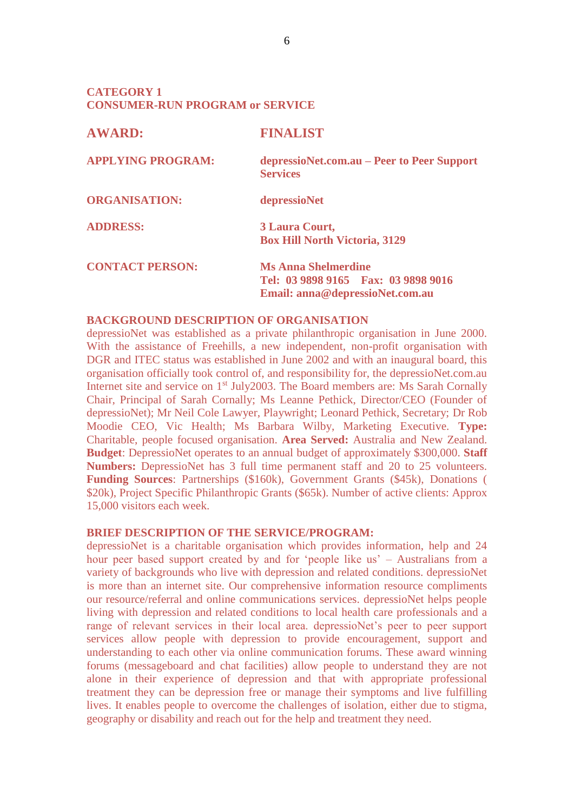# **CATEGORY 1 CONSUMER-RUN PROGRAM or SERVICE**

| <b>AWARD:</b>            | <b>FINALIST</b>                                                                                       |
|--------------------------|-------------------------------------------------------------------------------------------------------|
| <b>APPLYING PROGRAM:</b> | depressioNet.com.au – Peer to Peer Support<br><b>Services</b>                                         |
| <b>ORGANISATION:</b>     | depressioNet                                                                                          |
| <b>ADDRESS:</b>          | 3 Laura Court,<br><b>Box Hill North Victoria, 3129</b>                                                |
| <b>CONTACT PERSON:</b>   | <b>Ms Anna Shelmerdine</b><br>Tel: 03 9898 9165  Fax: 03 9898 9016<br>Email: anna@depressioNet.com.au |

# **BACKGROUND DESCRIPTION OF ORGANISATION**

depressioNet was established as a private philanthropic organisation in June 2000. With the assistance of Freehills, a new independent, non-profit organisation with DGR and ITEC status was established in June 2002 and with an inaugural board, this organisation officially took control of, and responsibility for, the depressioNet.com.au Internet site and service on 1<sup>st</sup> July2003. The Board members are: Ms Sarah Cornally Chair, Principal of Sarah Cornally; Ms Leanne Pethick, Director/CEO (Founder of depressioNet); Mr Neil Cole Lawyer, Playwright; Leonard Pethick, Secretary; Dr Rob Moodie CEO, Vic Health; Ms Barbara Wilby, Marketing Executive. **Type:** Charitable, people focused organisation. **Area Served:** Australia and New Zealand. **Budget**: DepressioNet operates to an annual budget of approximately \$300,000. **Staff Numbers:** DepressioNet has 3 full time permanent staff and 20 to 25 volunteers. **Funding Sources**: Partnerships (\$160k), Government Grants (\$45k), Donations ( \$20k), Project Specific Philanthropic Grants (\$65k). Number of active clients: Approx 15,000 visitors each week.

## **BRIEF DESCRIPTION OF THE SERVICE/PROGRAM:**

depressioNet is a charitable organisation which provides information, help and 24 hour peer based support created by and for 'people like us' – Australians from a variety of backgrounds who live with depression and related conditions. depressioNet is more than an internet site. Our comprehensive information resource compliments our resource/referral and online communications services. depressioNet helps people living with depression and related conditions to local health care professionals and a range of relevant services in their local area. depressioNet's peer to peer support services allow people with depression to provide encouragement, support and understanding to each other via online communication forums. These award winning forums (messageboard and chat facilities) allow people to understand they are not alone in their experience of depression and that with appropriate professional treatment they can be depression free or manage their symptoms and live fulfilling lives. It enables people to overcome the challenges of isolation, either due to stigma, geography or disability and reach out for the help and treatment they need.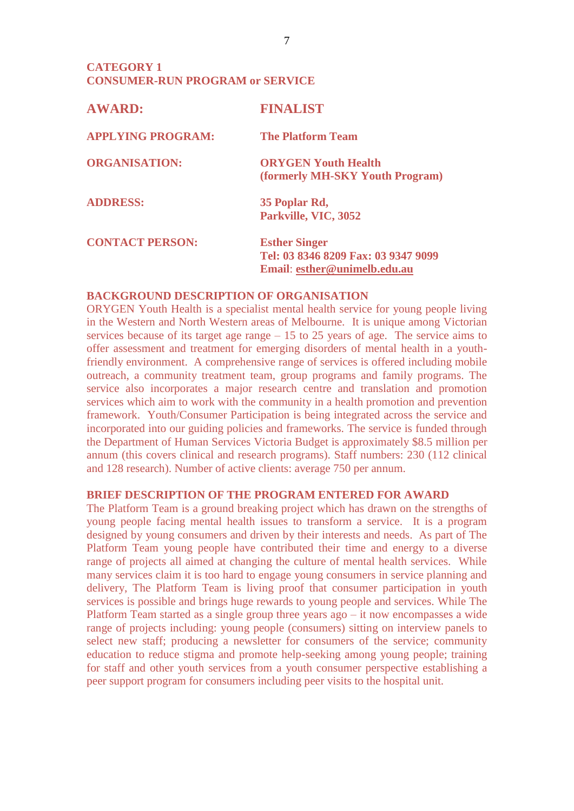# **CATEGORY 1 CONSUMER-RUN PROGRAM or SERVICE**

| <b>AWARD:</b>            | <b>FINALIST</b>                                                                             |
|--------------------------|---------------------------------------------------------------------------------------------|
| <b>APPLYING PROGRAM:</b> | <b>The Platform Team</b>                                                                    |
| <b>ORGANISATION:</b>     | <b>ORYGEN Youth Health</b><br>(formerly MH-SKY Youth Program)                               |
| <b>ADDRESS:</b>          | 35 Poplar Rd,<br>Parkville, VIC, 3052                                                       |
| <b>CONTACT PERSON:</b>   | <b>Esther Singer</b><br>Tel: 03 8346 8209 Fax: 03 9347 9099<br>Email: esther@unimelb.edu.au |

# **BACKGROUND DESCRIPTION OF ORGANISATION**

ORYGEN Youth Health is a specialist mental health service for young people living in the Western and North Western areas of Melbourne. It is unique among Victorian services because of its target age range – 15 to 25 years of age. The service aims to offer assessment and treatment for emerging disorders of mental health in a youthfriendly environment. A comprehensive range of services is offered including mobile outreach, a community treatment team, group programs and family programs. The service also incorporates a major research centre and translation and promotion services which aim to work with the community in a health promotion and prevention framework. Youth/Consumer Participation is being integrated across the service and incorporated into our guiding policies and frameworks. The service is funded through the Department of Human Services Victoria Budget is approximately \$8.5 million per annum (this covers clinical and research programs). Staff numbers: 230 (112 clinical and 128 research). Number of active clients: average 750 per annum.

# **BRIEF DESCRIPTION OF THE PROGRAM ENTERED FOR AWARD**

The Platform Team is a ground breaking project which has drawn on the strengths of young people facing mental health issues to transform a service. It is a program designed by young consumers and driven by their interests and needs. As part of The Platform Team young people have contributed their time and energy to a diverse range of projects all aimed at changing the culture of mental health services. While many services claim it is too hard to engage young consumers in service planning and delivery, The Platform Team is living proof that consumer participation in youth services is possible and brings huge rewards to young people and services. While The Platform Team started as a single group three years ago – it now encompasses a wide range of projects including: young people (consumers) sitting on interview panels to select new staff; producing a newsletter for consumers of the service; community education to reduce stigma and promote help-seeking among young people; training for staff and other youth services from a youth consumer perspective establishing a peer support program for consumers including peer visits to the hospital unit.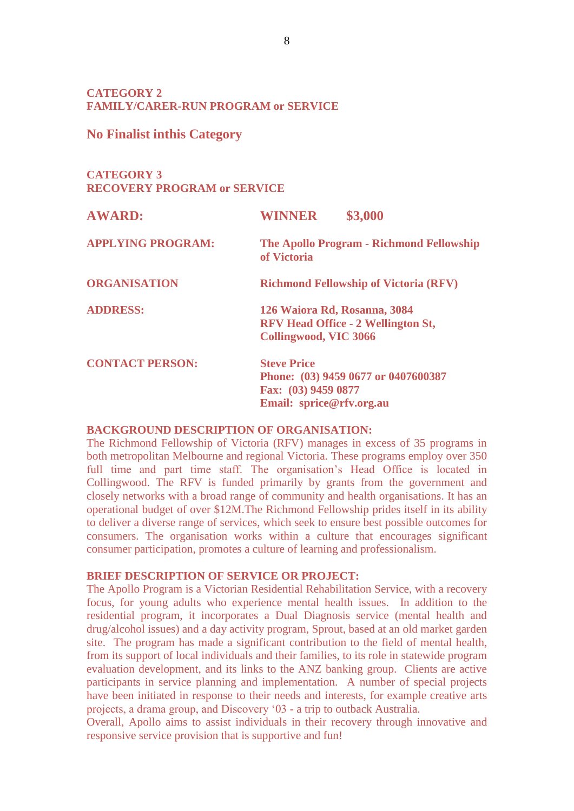# **CATEGORY 2 FAMILY/CARER-RUN PROGRAM or SERVICE**

# **No Finalist inthis Category**

# **CATEGORY 3 RECOVERY PROGRAM or SERVICE**

| <b>AWARD:</b>            | \$3,000<br><b>WINNER</b>                                                                                     |
|--------------------------|--------------------------------------------------------------------------------------------------------------|
| <b>APPLYING PROGRAM:</b> | <b>The Apollo Program - Richmond Fellowship</b><br>of Victoria                                               |
| <b>ORGANISATION</b>      | <b>Richmond Fellowship of Victoria (RFV)</b>                                                                 |
| <b>ADDRESS:</b>          | 126 Waiora Rd, Rosanna, 3084<br><b>RFV Head Office - 2 Wellington St,</b><br><b>Collingwood, VIC 3066</b>    |
| <b>CONTACT PERSON:</b>   | <b>Steve Price</b><br>Phone: (03) 9459 0677 or 0407600387<br>Fax: (03) 9459 0877<br>Email: sprice@rfv.org.au |

# **BACKGROUND DESCRIPTION OF ORGANISATION:**

The Richmond Fellowship of Victoria (RFV) manages in excess of 35 programs in both metropolitan Melbourne and regional Victoria. These programs employ over 350 full time and part time staff. The organisation's Head Office is located in Collingwood. The RFV is funded primarily by grants from the government and closely networks with a broad range of community and health organisations. It has an operational budget of over \$12M.The Richmond Fellowship prides itself in its ability to deliver a diverse range of services, which seek to ensure best possible outcomes for consumers. The organisation works within a culture that encourages significant consumer participation, promotes a culture of learning and professionalism.

## **BRIEF DESCRIPTION OF SERVICE OR PROJECT:**

The Apollo Program is a Victorian Residential Rehabilitation Service, with a recovery focus, for young adults who experience mental health issues. In addition to the residential program, it incorporates a Dual Diagnosis service (mental health and drug/alcohol issues) and a day activity program, Sprout, based at an old market garden site. The program has made a significant contribution to the field of mental health, from its support of local individuals and their families, to its role in statewide program evaluation development, and its links to the ANZ banking group. Clients are active participants in service planning and implementation. A number of special projects have been initiated in response to their needs and interests, for example creative arts projects, a drama group, and Discovery '03 - a trip to outback Australia.

Overall, Apollo aims to assist individuals in their recovery through innovative and responsive service provision that is supportive and fun!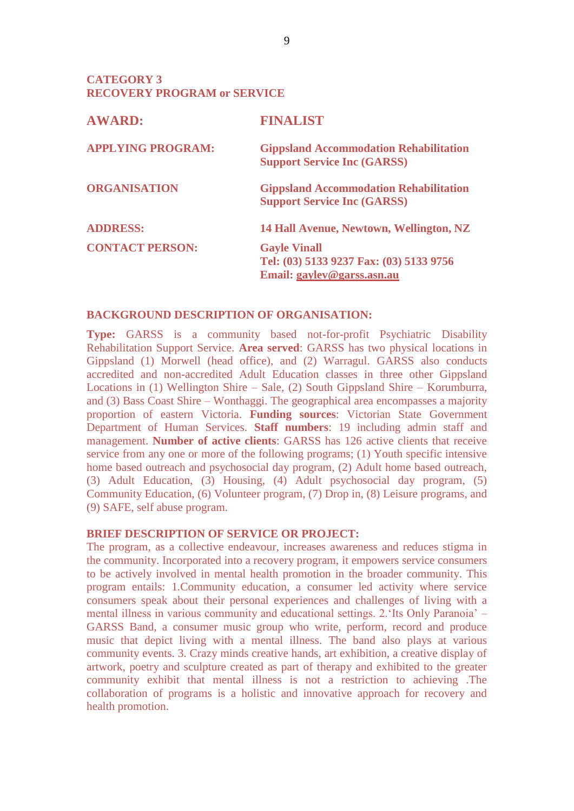**CATEGORY 3 RECOVERY PROGRAM or SERVICE**

| <b>AWARD:</b>            | <b>FINALIST</b>                                                                              |
|--------------------------|----------------------------------------------------------------------------------------------|
| <b>APPLYING PROGRAM:</b> | <b>Gippsland Accommodation Rehabilitation</b><br><b>Support Service Inc (GARSS)</b>          |
| <b>ORGANISATION</b>      | <b>Gippsland Accommodation Rehabilitation</b><br><b>Support Service Inc (GARSS)</b>          |
| <b>ADDRESS:</b>          | 14 Hall Avenue, Newtown, Wellington, NZ                                                      |
| <b>CONTACT PERSON:</b>   | <b>Gayle Vinall</b><br>Tel: (03) 5133 9237 Fax: (03) 5133 9756<br>Email: gaylev@garss.asn.au |

# **BACKGROUND DESCRIPTION OF ORGANISATION:**

**Type:** GARSS is a community based not-for-profit Psychiatric Disability Rehabilitation Support Service. **Area served**: GARSS has two physical locations in Gippsland (1) Morwell (head office), and (2) Warragul. GARSS also conducts accredited and non-accredited Adult Education classes in three other Gippsland Locations in (1) Wellington Shire – Sale, (2) South Gippsland Shire – Korumburra, and (3) Bass Coast Shire – Wonthaggi. The geographical area encompasses a majority proportion of eastern Victoria. **Funding sources**: Victorian State Government Department of Human Services. **Staff numbers**: 19 including admin staff and management. **Number of active clients**: GARSS has 126 active clients that receive service from any one or more of the following programs; (1) Youth specific intensive home based outreach and psychosocial day program, (2) Adult home based outreach, (3) Adult Education, (3) Housing, (4) Adult psychosocial day program, (5) Community Education, (6) Volunteer program, (7) Drop in, (8) Leisure programs, and (9) SAFE, self abuse program.

## **BRIEF DESCRIPTION OF SERVICE OR PROJECT:**

The program, as a collective endeavour, increases awareness and reduces stigma in the community. Incorporated into a recovery program, it empowers service consumers to be actively involved in mental health promotion in the broader community. This program entails: 1.Community education, a consumer led activity where service consumers speak about their personal experiences and challenges of living with a mental illness in various community and educational settings. 2.'Its Only Paranoia' – GARSS Band, a consumer music group who write, perform, record and produce music that depict living with a mental illness. The band also plays at various community events. 3. Crazy minds creative hands, art exhibition, a creative display of artwork, poetry and sculpture created as part of therapy and exhibited to the greater community exhibit that mental illness is not a restriction to achieving .The collaboration of programs is a holistic and innovative approach for recovery and health promotion.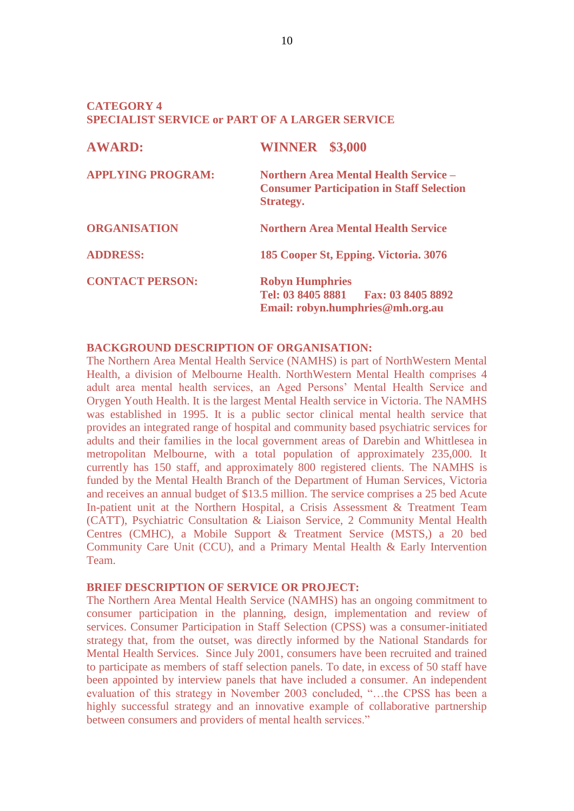# **CATEGORY 4 SPECIALIST SERVICE or PART OF A LARGER SERVICE**

| <b>AWARD:</b>            | <b>WINNER</b> \$3,000                                                                                                |
|--------------------------|----------------------------------------------------------------------------------------------------------------------|
| <b>APPLYING PROGRAM:</b> | <b>Northern Area Mental Health Service –</b><br><b>Consumer Participation in Staff Selection</b><br><b>Strategy.</b> |
| <b>ORGANISATION</b>      | <b>Northern Area Mental Health Service</b>                                                                           |
| <b>ADDRESS:</b>          | 185 Cooper St, Epping. Victoria. 3076                                                                                |
| <b>CONTACT PERSON:</b>   | <b>Robyn Humphries</b><br>Tel: 03 8405 8881 Fax: 03 8405 8892<br>Email: robyn.humphries@mh.org.au                    |

#### **BACKGROUND DESCRIPTION OF ORGANISATION:**

The Northern Area Mental Health Service (NAMHS) is part of NorthWestern Mental Health, a division of Melbourne Health. NorthWestern Mental Health comprises 4 adult area mental health services, an Aged Persons' Mental Health Service and Orygen Youth Health. It is the largest Mental Health service in Victoria. The NAMHS was established in 1995. It is a public sector clinical mental health service that provides an integrated range of hospital and community based psychiatric services for adults and their families in the local government areas of Darebin and Whittlesea in metropolitan Melbourne, with a total population of approximately 235,000. It currently has 150 staff, and approximately 800 registered clients. The NAMHS is funded by the Mental Health Branch of the Department of Human Services, Victoria and receives an annual budget of \$13.5 million. The service comprises a 25 bed Acute In-patient unit at the Northern Hospital, a Crisis Assessment & Treatment Team (CATT), Psychiatric Consultation & Liaison Service, 2 Community Mental Health Centres (CMHC), a Mobile Support & Treatment Service (MSTS,) a 20 bed Community Care Unit (CCU), and a Primary Mental Health & Early Intervention Team.

## **BRIEF DESCRIPTION OF SERVICE OR PROJECT:**

The Northern Area Mental Health Service (NAMHS) has an ongoing commitment to consumer participation in the planning, design, implementation and review of services. Consumer Participation in Staff Selection (CPSS) was a consumer-initiated strategy that, from the outset, was directly informed by the National Standards for Mental Health Services. Since July 2001, consumers have been recruited and trained to participate as members of staff selection panels. To date, in excess of 50 staff have been appointed by interview panels that have included a consumer. An independent evaluation of this strategy in November 2003 concluded, "…the CPSS has been a highly successful strategy and an innovative example of collaborative partnership between consumers and providers of mental health services."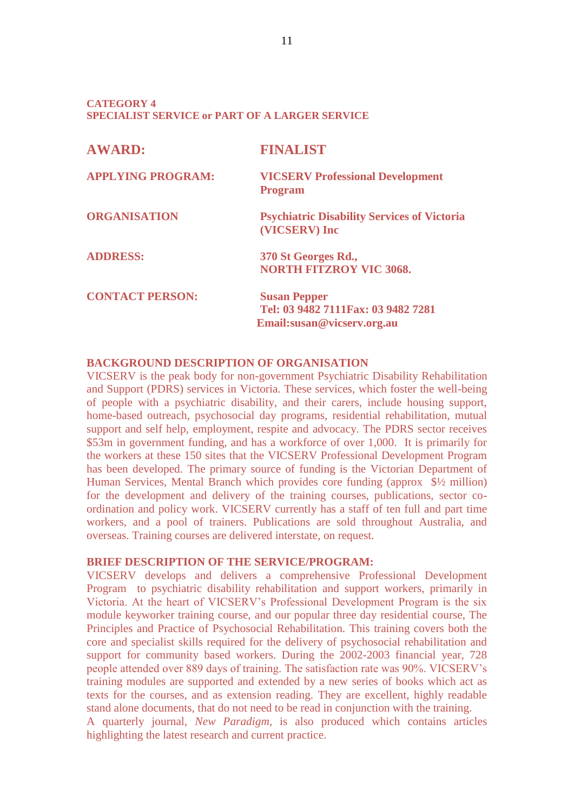## **CATEGORY 4 SPECIALIST SERVICE or PART OF A LARGER SERVICE**

| <b>AWARD:</b>            | <b>FINALIST</b>                                                                          |
|--------------------------|------------------------------------------------------------------------------------------|
| <b>APPLYING PROGRAM:</b> | <b>VICSERV Professional Development</b><br><b>Program</b>                                |
| <b>ORGANISATION</b>      | <b>Psychiatric Disability Services of Victoria</b><br>(VICSERV) Inc                      |
| <b>ADDRESS:</b>          | 370 St Georges Rd.,<br><b>NORTH FITZROY VIC 3068.</b>                                    |
| <b>CONTACT PERSON:</b>   | <b>Susan Pepper</b><br>Tel: 03 9482 7111 Fax: 03 9482 7281<br>Email:susan@vicserv.org.au |

# **BACKGROUND DESCRIPTION OF ORGANISATION**

VICSERV is the peak body for non-government Psychiatric Disability Rehabilitation and Support (PDRS) services in Victoria. These services, which foster the well-being of people with a psychiatric disability, and their carers, include housing support, home-based outreach, psychosocial day programs, residential rehabilitation, mutual support and self help, employment, respite and advocacy. The PDRS sector receives \$53m in government funding, and has a workforce of over 1,000. It is primarily for the workers at these 150 sites that the VICSERV Professional Development Program has been developed. The primary source of funding is the Victorian Department of Human Services, Mental Branch which provides core funding (approx \$½ million) for the development and delivery of the training courses, publications, sector coordination and policy work. VICSERV currently has a staff of ten full and part time workers, and a pool of trainers. Publications are sold throughout Australia, and overseas. Training courses are delivered interstate, on request.

#### **BRIEF DESCRIPTION OF THE SERVICE/PROGRAM:**

VICSERV develops and delivers a comprehensive Professional Development Program to psychiatric disability rehabilitation and support workers, primarily in Victoria. At the heart of VICSERV's Professional Development Program is the six module keyworker training course, and our popular three day residential course, The Principles and Practice of Psychosocial Rehabilitation. This training covers both the core and specialist skills required for the delivery of psychosocial rehabilitation and support for community based workers. During the 2002-2003 financial year, 728 people attended over 889 days of training. The satisfaction rate was 90%. VICSERV's training modules are supported and extended by a new series of books which act as texts for the courses, and as extension reading. They are excellent, highly readable stand alone documents, that do not need to be read in conjunction with the training. A quarterly journal, *New Paradigm*, is also produced which contains articles highlighting the latest research and current practice.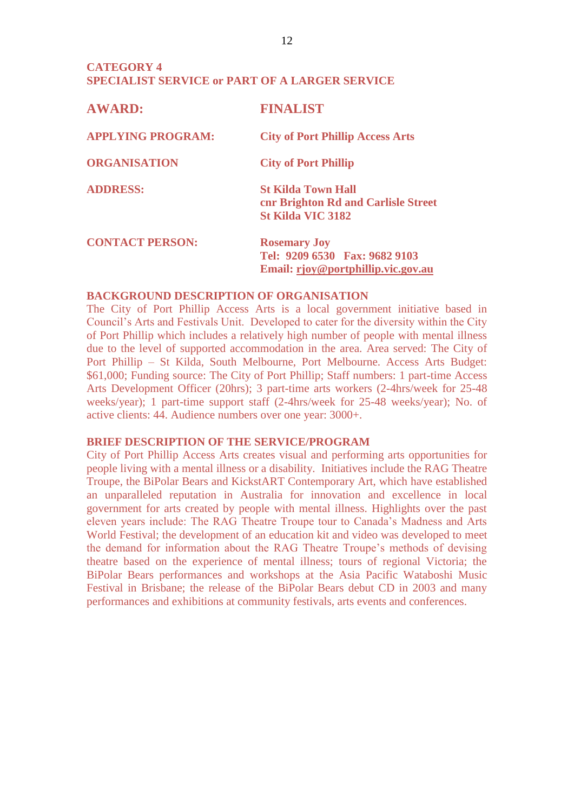# **CATEGORY 4 SPECIALIST SERVICE or PART OF A LARGER SERVICE**

| <b>AWARD:</b>            | <b>FINALIST</b>                                                                              |
|--------------------------|----------------------------------------------------------------------------------------------|
| <b>APPLYING PROGRAM:</b> | <b>City of Port Phillip Access Arts</b>                                                      |
| <b>ORGANISATION</b>      | <b>City of Port Phillip</b>                                                                  |
| <b>ADDRESS:</b>          | <b>St Kilda Town Hall</b><br>cnr Brighton Rd and Carlisle Street<br><b>St Kilda VIC 3182</b> |
| <b>CONTACT PERSON:</b>   | <b>Rosemary Joy</b><br>Tel: 9209 6530 Fax: 9682 9103<br>Email: rjoy@portphillip.vic.gov.au   |

# **BACKGROUND DESCRIPTION OF ORGANISATION**

The City of Port Phillip Access Arts is a local government initiative based in Council's Arts and Festivals Unit. Developed to cater for the diversity within the City of Port Phillip which includes a relatively high number of people with mental illness due to the level of supported accommodation in the area. Area served: The City of Port Phillip – St Kilda, South Melbourne, Port Melbourne. Access Arts Budget: \$61,000; Funding source: The City of Port Phillip; Staff numbers: 1 part-time Access Arts Development Officer (20hrs); 3 part-time arts workers (2-4hrs/week for 25-48 weeks/year); 1 part-time support staff (2-4hrs/week for 25-48 weeks/year); No. of active clients: 44. Audience numbers over one year: 3000+.

## **BRIEF DESCRIPTION OF THE SERVICE/PROGRAM**

City of Port Phillip Access Arts creates visual and performing arts opportunities for people living with a mental illness or a disability. Initiatives include the RAG Theatre Troupe, the BiPolar Bears and KickstART Contemporary Art, which have established an unparalleled reputation in Australia for innovation and excellence in local government for arts created by people with mental illness. Highlights over the past eleven years include: The RAG Theatre Troupe tour to Canada's Madness and Arts World Festival; the development of an education kit and video was developed to meet the demand for information about the RAG Theatre Troupe's methods of devising theatre based on the experience of mental illness; tours of regional Victoria; the BiPolar Bears performances and workshops at the Asia Pacific Wataboshi Music Festival in Brisbane; the release of the BiPolar Bears debut CD in 2003 and many performances and exhibitions at community festivals, arts events and conferences.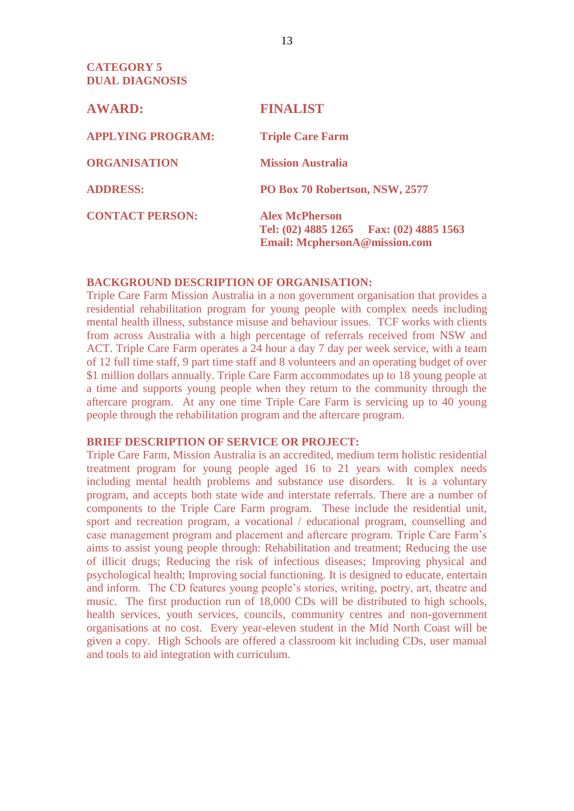**CATEGORY 5 DUAL DIAGNOSIS**

| <b>AWARD:</b>            | <b>FINALIST</b>                                                                                              |  |
|--------------------------|--------------------------------------------------------------------------------------------------------------|--|
| <b>APPLYING PROGRAM:</b> | <b>Triple Care Farm</b>                                                                                      |  |
| <b>ORGANISATION</b>      | <b>Mission Australia</b>                                                                                     |  |
| <b>ADDRESS:</b>          | PO Box 70 Robertson, NSW, 2577                                                                               |  |
| <b>CONTACT PERSON:</b>   | <b>Alex McPherson</b><br>Tel: $(02)$ 4885 1265 Fax: $(02)$ 4885 1563<br><b>Email: McphersonA@mission.com</b> |  |

# **BACKGROUND DESCRIPTION OF ORGANISATION:**

Triple Care Farm Mission Australia in a non government organisation that provides a residential rehabilitation program for young people with complex needs including mental health illness, substance misuse and behaviour issues. TCF works with clients from across Australia with a high percentage of referrals received from NSW and ACT. Triple Care Farm operates a 24 hour a day 7 day per week service, with a team of 12 full time staff, 9 part time staff and 8 volunteers and an operating budget of over \$1 million dollars annually. Triple Care Farm accommodates up to 18 young people at a time and supports young people when they return to the community through the aftercare program. At any one time Triple Care Farm is servicing up to 40 young people through the rehabilitation program and the aftercare program.

# **BRIEF DESCRIPTION OF SERVICE OR PROJECT:**

Triple Care Farm, Mission Australia is an accredited, medium term holistic residential treatment program for young people aged 16 to 21 years with complex needs including mental health problems and substance use disorders. It is a voluntary program, and accepts both state wide and interstate referrals. There are a number of components to the Triple Care Farm program. These include the residential unit, sport and recreation program, a vocational / educational program, counselling and case management program and placement and aftercare program. Triple Care Farm's aims to assist young people through: Rehabilitation and treatment; Reducing the use of illicit drugs; Reducing the risk of infectious diseases; Improving physical and psychological health; Improving social functioning. It is designed to educate, entertain and inform. The CD features young people's stories, writing, poetry, art, theatre and music. The first production run of 18,000 CDs will be distributed to high schools, health services, youth services, councils, community centres and non-government organisations at no cost. Every year-eleven student in the Mid North Coast will be given a copy. High Schools are offered a classroom kit including CDs, user manual and tools to aid integration with curriculum.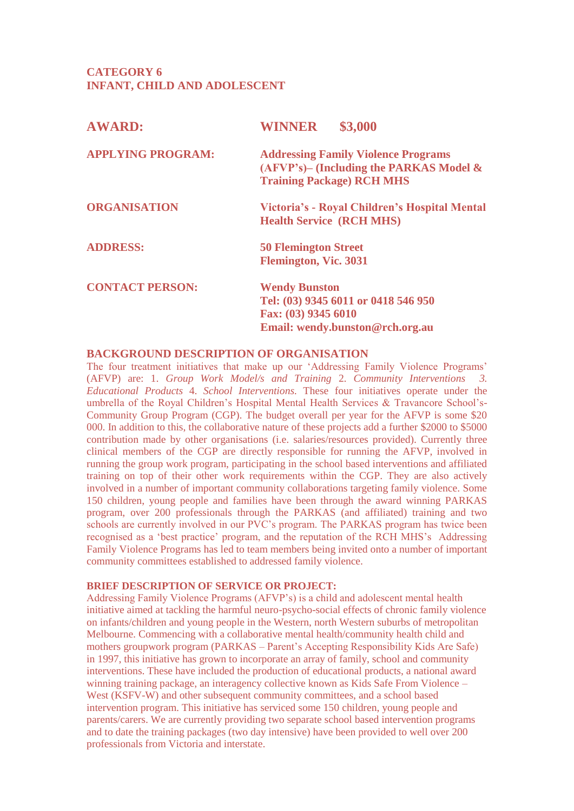# **CATEGORY 6 INFANT, CHILD AND ADOLESCENT**

| \$3,000<br><b>WINNER</b>                                                                                                     |  |
|------------------------------------------------------------------------------------------------------------------------------|--|
| <b>Addressing Family Violence Programs</b><br>$(AFVP's)$ – (Including the PARKAS Model &<br><b>Training Package) RCH MHS</b> |  |
| Victoria's - Royal Children's Hospital Mental<br><b>Health Service (RCH MHS)</b>                                             |  |
| <b>50 Flemington Street</b><br><b>Flemington, Vic. 3031</b>                                                                  |  |
| <b>Wendy Bunston</b><br>Tel: (03) 9345 6011 or 0418 546 950<br>Fax: (03) 9345 6010<br>Email: wendy.bunston@rch.org.au        |  |
|                                                                                                                              |  |

# **BACKGROUND DESCRIPTION OF ORGANISATION**

The four treatment initiatives that make up our 'Addressing Family Violence Programs' (AFVP) are: 1. *Group Work Model/s and Training* 2. *Community Interventions 3. Educational Products* 4. *School Interventions.* These four initiatives operate under the umbrella of the Royal Children's Hospital Mental Health Services & Travancore School's-Community Group Program (CGP). The budget overall per year for the AFVP is some \$20 000. In addition to this, the collaborative nature of these projects add a further \$2000 to \$5000 contribution made by other organisations (i.e. salaries/resources provided). Currently three clinical members of the CGP are directly responsible for running the AFVP, involved in running the group work program, participating in the school based interventions and affiliated training on top of their other work requirements within the CGP. They are also actively involved in a number of important community collaborations targeting family violence. Some 150 children, young people and families have been through the award winning PARKAS program, over 200 professionals through the PARKAS (and affiliated) training and two schools are currently involved in our PVC's program. The PARKAS program has twice been recognised as a 'best practice' program, and the reputation of the RCH MHS's Addressing Family Violence Programs has led to team members being invited onto a number of important community committees established to addressed family violence.

## **BRIEF DESCRIPTION OF SERVICE OR PROJECT:**

Addressing Family Violence Programs (AFVP's) is a child and adolescent mental health initiative aimed at tackling the harmful neuro-psycho-social effects of chronic family violence on infants/children and young people in the Western, north Western suburbs of metropolitan Melbourne. Commencing with a collaborative mental health/community health child and mothers groupwork program (PARKAS – Parent's Accepting Responsibility Kids Are Safe) in 1997, this initiative has grown to incorporate an array of family, school and community interventions. These have included the production of educational products, a national award winning training package, an interagency collective known as Kids Safe From Violence – West (KSFV-W) and other subsequent community committees, and a school based intervention program. This initiative has serviced some 150 children, young people and parents/carers. We are currently providing two separate school based intervention programs and to date the training packages (two day intensive) have been provided to well over 200 professionals from Victoria and interstate.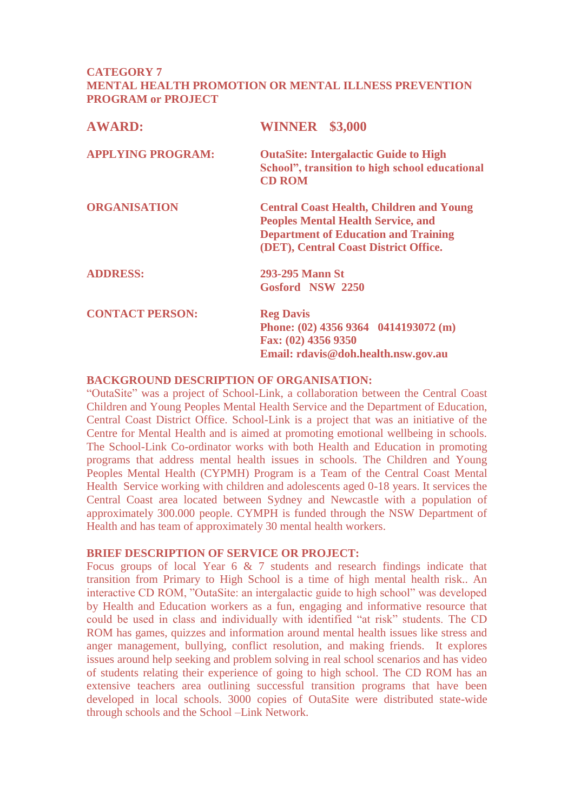# **CATEGORY 7 MENTAL HEALTH PROMOTION OR MENTAL ILLNESS PREVENTION PROGRAM or PROJECT**

| <b>AWARD:</b>            | <b>WINNER</b> \$3,000                                                                                                                                                                |  |
|--------------------------|--------------------------------------------------------------------------------------------------------------------------------------------------------------------------------------|--|
| <b>APPLYING PROGRAM:</b> | <b>OutaSite: Intergalactic Guide to High</b><br>School", transition to high school educational<br><b>CD ROM</b>                                                                      |  |
| <b>ORGANISATION</b>      | <b>Central Coast Health, Children and Young</b><br><b>Peoples Mental Health Service, and</b><br><b>Department of Education and Training</b><br>(DET), Central Coast District Office. |  |
| <b>ADDRESS:</b>          | 293-295 Mann St<br>Gosford NSW 2250                                                                                                                                                  |  |
| <b>CONTACT PERSON:</b>   | <b>Reg Davis</b><br>Phone: (02) 4356 9364 0414193072 (m)<br>Fax: (02) 4356 9350<br>Email: rdavis@doh.health.nsw.gov.au                                                               |  |

# **BACKGROUND DESCRIPTION OF ORGANISATION:**

"OutaSite" was a project of School-Link, a collaboration between the Central Coast Children and Young Peoples Mental Health Service and the Department of Education, Central Coast District Office. School-Link is a project that was an initiative of the Centre for Mental Health and is aimed at promoting emotional wellbeing in schools. The School-Link Co-ordinator works with both Health and Education in promoting programs that address mental health issues in schools. The Children and Young Peoples Mental Health (CYPMH) Program is a Team of the Central Coast Mental Health Service working with children and adolescents aged 0-18 years. It services the Central Coast area located between Sydney and Newcastle with a population of approximately 300.000 people. CYMPH is funded through the NSW Department of Health and has team of approximately 30 mental health workers.

# **BRIEF DESCRIPTION OF SERVICE OR PROJECT:**

Focus groups of local Year 6 & 7 students and research findings indicate that transition from Primary to High School is a time of high mental health risk.. An interactive CD ROM, "OutaSite: an intergalactic guide to high school" was developed by Health and Education workers as a fun, engaging and informative resource that could be used in class and individually with identified "at risk" students. The CD ROM has games, quizzes and information around mental health issues like stress and anger management, bullying, conflict resolution, and making friends. It explores issues around help seeking and problem solving in real school scenarios and has video of students relating their experience of going to high school. The CD ROM has an extensive teachers area outlining successful transition programs that have been developed in local schools. 3000 copies of OutaSite were distributed state-wide through schools and the School –Link Network.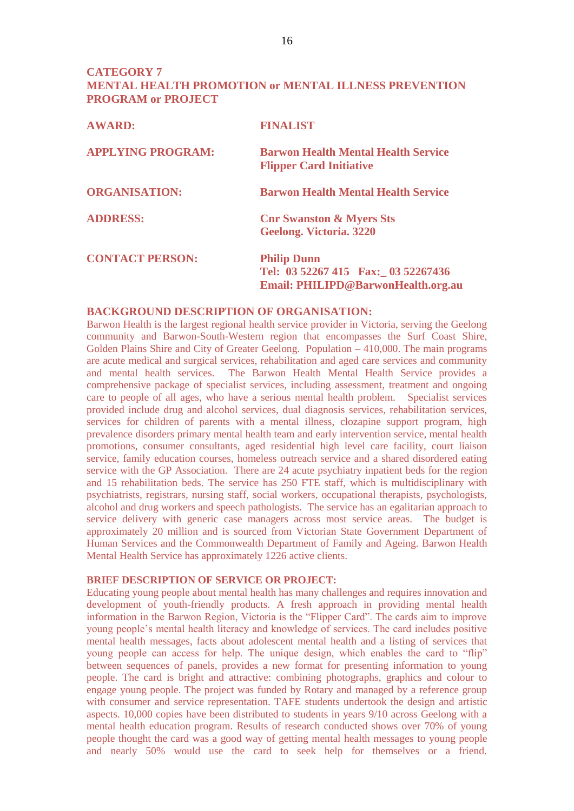# **CATEGORY 7 MENTAL HEALTH PROMOTION or MENTAL ILLNESS PREVENTION PROGRAM or PROJECT**

| <b>AWARD:</b>            | <b>FINALIST</b>                                                                                |  |
|--------------------------|------------------------------------------------------------------------------------------------|--|
| <b>APPLYING PROGRAM:</b> | <b>Barwon Health Mental Health Service</b><br><b>Flipper Card Initiative</b>                   |  |
| <b>ORGANISATION:</b>     | <b>Barwon Health Mental Health Service</b>                                                     |  |
| <b>ADDRESS:</b>          | <b>Cnr Swanston &amp; Myers Sts</b><br>Geelong. Victoria. 3220                                 |  |
| <b>CONTACT PERSON:</b>   | <b>Philip Dunn</b><br>Tel: 03 52267 415 Fax: 03 52267436<br>Email: PHILIPD@BarwonHealth.org.au |  |

## **BACKGROUND DESCRIPTION OF ORGANISATION:**

Barwon Health is the largest regional health service provider in Victoria, serving the Geelong community and Barwon-South-Western region that encompasses the Surf Coast Shire, Golden Plains Shire and City of Greater Geelong. Population – 410,000. The main programs are acute medical and surgical services, rehabilitation and aged care services and community and mental health services. The Barwon Health Mental Health Service provides a comprehensive package of specialist services, including assessment, treatment and ongoing care to people of all ages, who have a serious mental health problem. Specialist services provided include drug and alcohol services, dual diagnosis services, rehabilitation services, services for children of parents with a mental illness, clozapine support program, high prevalence disorders primary mental health team and early intervention service, mental health promotions, consumer consultants, aged residential high level care facility, court liaison service, family education courses, homeless outreach service and a shared disordered eating service with the GP Association. There are 24 acute psychiatry inpatient beds for the region and 15 rehabilitation beds. The service has 250 FTE staff, which is multidisciplinary with psychiatrists, registrars, nursing staff, social workers, occupational therapists, psychologists, alcohol and drug workers and speech pathologists. The service has an egalitarian approach to service delivery with generic case managers across most service areas. The budget is approximately 20 million and is sourced from Victorian State Government Department of Human Services and the Commonwealth Department of Family and Ageing. Barwon Health Mental Health Service has approximately 1226 active clients.

#### **BRIEF DESCRIPTION OF SERVICE OR PROJECT:**

Educating young people about mental health has many challenges and requires innovation and development of youth-friendly products. A fresh approach in providing mental health information in the Barwon Region, Victoria is the "Flipper Card". The cards aim to improve young people's mental health literacy and knowledge of services. The card includes positive mental health messages, facts about adolescent mental health and a listing of services that young people can access for help. The unique design, which enables the card to "flip" between sequences of panels, provides a new format for presenting information to young people. The card is bright and attractive: combining photographs, graphics and colour to engage young people. The project was funded by Rotary and managed by a reference group with consumer and service representation. TAFE students undertook the design and artistic aspects. 10,000 copies have been distributed to students in years 9/10 across Geelong with a mental health education program. Results of research conducted shows over 70% of young people thought the card was a good way of getting mental health messages to young people and nearly 50% would use the card to seek help for themselves or a friend.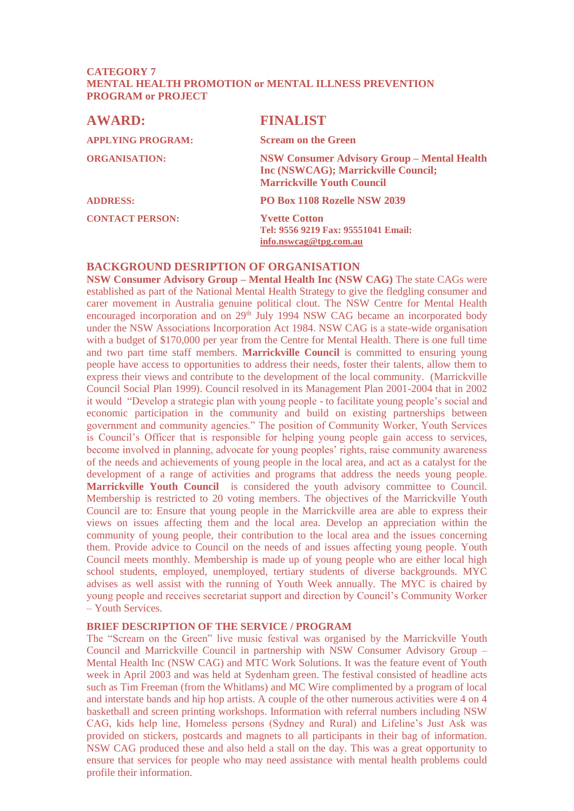## **CATEGORY 7 MENTAL HEALTH PROMOTION or MENTAL ILLNESS PREVENTION PROGRAM or PROJECT**

| <b>AWARD:</b>            | <b>FINALIST</b>                                                                                                                |  |
|--------------------------|--------------------------------------------------------------------------------------------------------------------------------|--|
| <b>APPLYING PROGRAM:</b> | <b>Scream on the Green</b>                                                                                                     |  |
| <b>ORGANISATION:</b>     | <b>NSW Consumer Advisory Group - Mental Health</b><br>Inc (NSWCAG); Marrickville Council;<br><b>Marrickville Youth Council</b> |  |
| <b>ADDRESS:</b>          | PO Box 1108 Rozelle NSW 2039                                                                                                   |  |
| <b>CONTACT PERSON:</b>   | <b>Yvette Cotton</b><br>Tel: 9556 9219 Fax: 95551041 Email:<br>info.nswcag@tpg.com.au                                          |  |

# **BACKGROUND DESRIPTION OF ORGANISATION**

**NSW Consumer Advisory Group – Mental Health Inc (NSW CAG)** The state CAGs were established as part of the National Mental Health Strategy to give the fledgling consumer and carer movement in Australia genuine political clout. The NSW Centre for Mental Health encouraged incorporation and on 29<sup>th</sup> July 1994 NSW CAG became an incorporated body under the NSW Associations Incorporation Act 1984. NSW CAG is a state-wide organisation with a budget of \$170,000 per year from the Centre for Mental Health. There is one full time and two part time staff members. **Marrickville Council** is committed to ensuring young people have access to opportunities to address their needs, foster their talents, allow them to express their views and contribute to the development of the local community. (Marrickville Council Social Plan 1999). Council resolved in its Management Plan 2001-2004 that in 2002 it would "Develop a strategic plan with young people - to facilitate young people's social and economic participation in the community and build on existing partnerships between government and community agencies." The position of Community Worker, Youth Services is Council's Officer that is responsible for helping young people gain access to services, become involved in planning, advocate for young peoples' rights, raise community awareness of the needs and achievements of young people in the local area, and act as a catalyst for the development of a range of activities and programs that address the needs young people. **Marrickville Youth Council** is considered the youth advisory committee to Council. Membership is restricted to 20 voting members. The objectives of the Marrickville Youth Council are to: Ensure that young people in the Marrickville area are able to express their views on issues affecting them and the local area. Develop an appreciation within the community of young people, their contribution to the local area and the issues concerning them. Provide advice to Council on the needs of and issues affecting young people. Youth Council meets monthly. Membership is made up of young people who are either local high school students, employed, unemployed, tertiary students of diverse backgrounds. MYC advises as well assist with the running of Youth Week annually. The MYC is chaired by young people and receives secretariat support and direction by Council's Community Worker – Youth Services.

#### **BRIEF DESCRIPTION OF THE SERVICE / PROGRAM**

The "Scream on the Green" live music festival was organised by the Marrickville Youth Council and Marrickville Council in partnership with NSW Consumer Advisory Group – Mental Health Inc (NSW CAG) and MTC Work Solutions. It was the feature event of Youth week in April 2003 and was held at Sydenham green. The festival consisted of headline acts such as Tim Freeman (from the Whitlams) and MC Wire complimented by a program of local and interstate bands and hip hop artists. A couple of the other numerous activities were 4 on 4 basketball and screen printing workshops. Information with referral numbers including NSW CAG, kids help line, Homeless persons (Sydney and Rural) and Lifeline's Just Ask was provided on stickers, postcards and magnets to all participants in their bag of information. NSW CAG produced these and also held a stall on the day. This was a great opportunity to ensure that services for people who may need assistance with mental health problems could profile their information.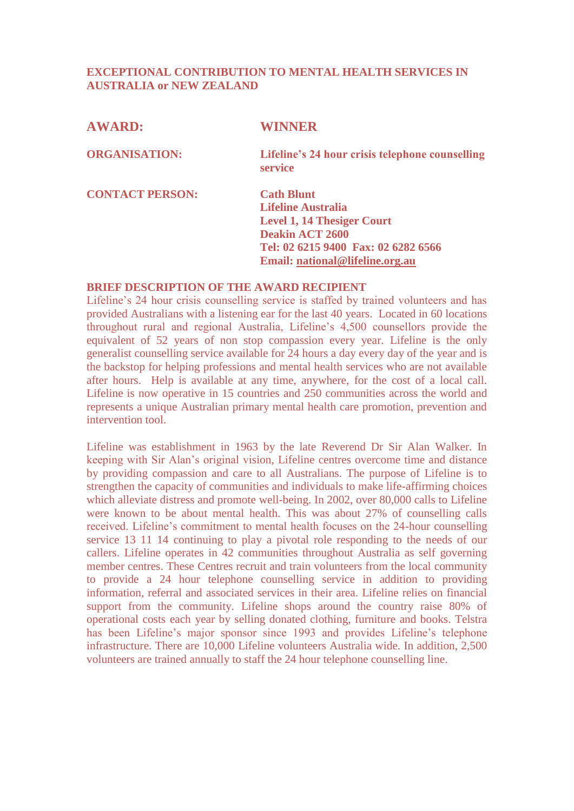# **EXCEPTIONAL CONTRIBUTION TO MENTAL HEALTH SERVICES IN AUSTRALIA or NEW ZEALAND**

# **AWARD: WINNER**

**ORGANISATION: Lifeline's 24 hour crisis telephone counselling service**

**CONTACT PERSON: Cath Blunt**

**Lifeline Australia Level 1, 14 Thesiger Court Deakin ACT 2600 Tel: 02 6215 9400 Fax: 02 6282 6566 Email: [national@lifeline.org.au](mailto:national@lifeline.org.au)**

# **BRIEF DESCRIPTION OF THE AWARD RECIPIENT**

Lifeline's 24 hour crisis counselling service is staffed by trained volunteers and has provided Australians with a listening ear for the last 40 years. Located in 60 locations throughout rural and regional Australia, Lifeline's 4,500 counsellors provide the equivalent of 52 years of non stop compassion every year. Lifeline is the only generalist counselling service available for 24 hours a day every day of the year and is the backstop for helping professions and mental health services who are not available after hours. Help is available at any time, anywhere, for the cost of a local call. Lifeline is now operative in 15 countries and 250 communities across the world and represents a unique Australian primary mental health care promotion, prevention and intervention tool.

Lifeline was establishment in 1963 by the late Reverend Dr Sir Alan Walker. In keeping with Sir Alan's original vision, Lifeline centres overcome time and distance by providing compassion and care to all Australians. The purpose of Lifeline is to strengthen the capacity of communities and individuals to make life-affirming choices which alleviate distress and promote well-being. In 2002, over 80,000 calls to Lifeline were known to be about mental health. This was about 27% of counselling calls received. Lifeline's commitment to mental health focuses on the 24-hour counselling service 13 11 14 continuing to play a pivotal role responding to the needs of our callers. Lifeline operates in 42 communities throughout Australia as self governing member centres. These Centres recruit and train volunteers from the local community to provide a 24 hour telephone counselling service in addition to providing information, referral and associated services in their area. Lifeline relies on financial support from the community. Lifeline shops around the country raise 80% of operational costs each year by selling donated clothing, furniture and books. Telstra has been Lifeline's major sponsor since 1993 and provides Lifeline's telephone infrastructure. There are 10,000 Lifeline volunteers Australia wide. In addition, 2,500 volunteers are trained annually to staff the 24 hour telephone counselling line.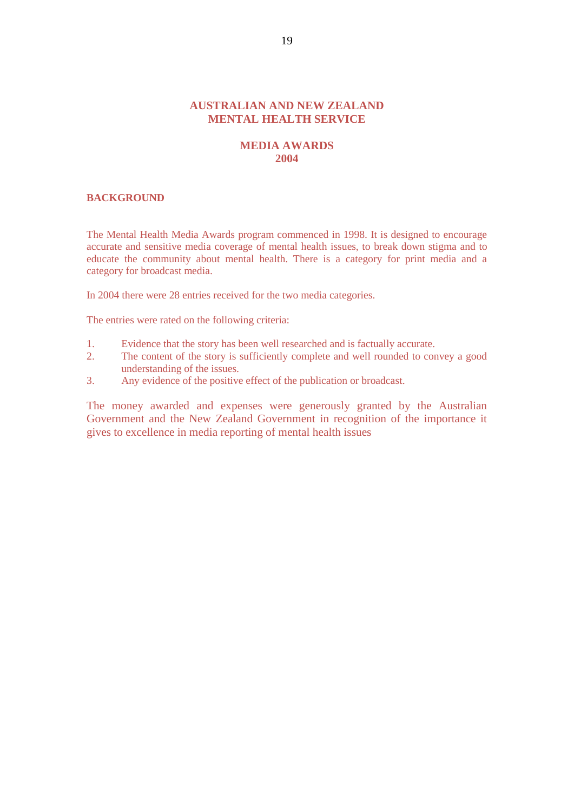## **AUSTRALIAN AND NEW ZEALAND MENTAL HEALTH SERVICE**

# **MEDIA AWARDS 2004**

#### **BACKGROUND**

The Mental Health Media Awards program commenced in 1998. It is designed to encourage accurate and sensitive media coverage of mental health issues, to break down stigma and to educate the community about mental health. There is a category for print media and a category for broadcast media.

In 2004 there were 28 entries received for the two media categories.

The entries were rated on the following criteria:

- 1. Evidence that the story has been well researched and is factually accurate.<br>2. The content of the story is sufficiently complete and well rounded to con-
- The content of the story is sufficiently complete and well rounded to convey a good understanding of the issues.
- 3. Any evidence of the positive effect of the publication or broadcast.

The money awarded and expenses were generously granted by the Australian Government and the New Zealand Government in recognition of the importance it gives to excellence in media reporting of mental health issues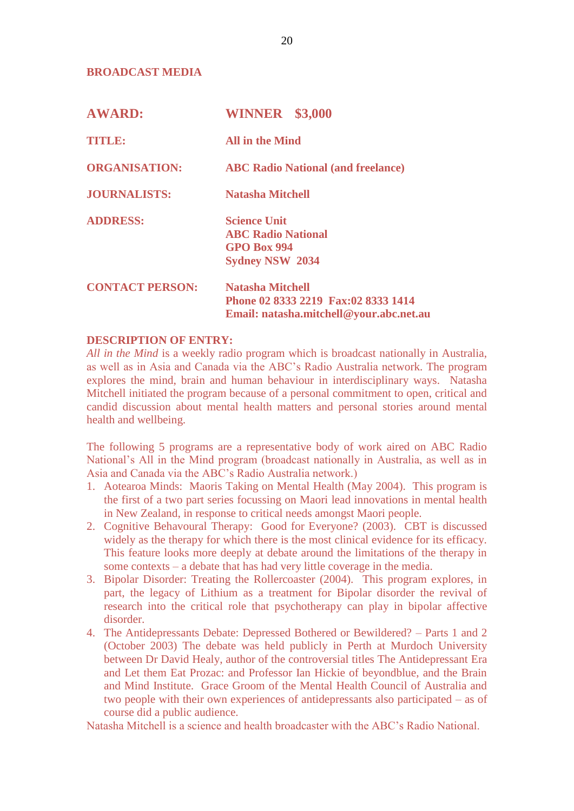# **BROADCAST MEDIA**

| <b>AWARD:</b>          | <b>WINNER</b> \$3,000                                                                                     |  |
|------------------------|-----------------------------------------------------------------------------------------------------------|--|
| <b>TITLE:</b>          | <b>All in the Mind</b>                                                                                    |  |
| <b>ORGANISATION:</b>   | <b>ABC Radio National (and freelance)</b>                                                                 |  |
| <b>JOURNALISTS:</b>    | Natasha Mitchell                                                                                          |  |
| <b>ADDRESS:</b>        | <b>Science Unit</b><br><b>ABC Radio National</b><br><b>GPO Box 994</b><br><b>Sydney NSW 2034</b>          |  |
| <b>CONTACT PERSON:</b> | <b>Natasha Mitchell</b><br>Phone 02 8333 2219 Fax:02 8333 1414<br>Email: natasha.mitchell@your.abc.net.au |  |

#### **DESCRIPTION OF ENTRY:**

*All in the Mind* is a weekly radio program which is broadcast nationally in Australia, as well as in Asia and Canada via the ABC's Radio Australia network. The program explores the mind, brain and human behaviour in interdisciplinary ways. Natasha Mitchell initiated the program because of a personal commitment to open, critical and candid discussion about mental health matters and personal stories around mental health and wellbeing.

The following 5 programs are a representative body of work aired on ABC Radio National's All in the Mind program (broadcast nationally in Australia, as well as in Asia and Canada via the ABC's Radio Australia network.)

- 1. Aotearoa Minds: Maoris Taking on Mental Health (May 2004). This program is the first of a two part series focussing on Maori lead innovations in mental health in New Zealand, in response to critical needs amongst Maori people.
- 2. Cognitive Behavoural Therapy: Good for Everyone? (2003). CBT is discussed widely as the therapy for which there is the most clinical evidence for its efficacy. This feature looks more deeply at debate around the limitations of the therapy in some contexts – a debate that has had very little coverage in the media.
- 3. Bipolar Disorder: Treating the Rollercoaster (2004). This program explores, in part, the legacy of Lithium as a treatment for Bipolar disorder the revival of research into the critical role that psychotherapy can play in bipolar affective disorder.
- 4. The Antidepressants Debate: Depressed Bothered or Bewildered? Parts 1 and 2 (October 2003) The debate was held publicly in Perth at Murdoch University between Dr David Healy, author of the controversial titles The Antidepressant Era and Let them Eat Prozac: and Professor Ian Hickie of beyondblue, and the Brain and Mind Institute. Grace Groom of the Mental Health Council of Australia and two people with their own experiences of antidepressants also participated – as of course did a public audience.

Natasha Mitchell is a science and health broadcaster with the ABC's Radio National.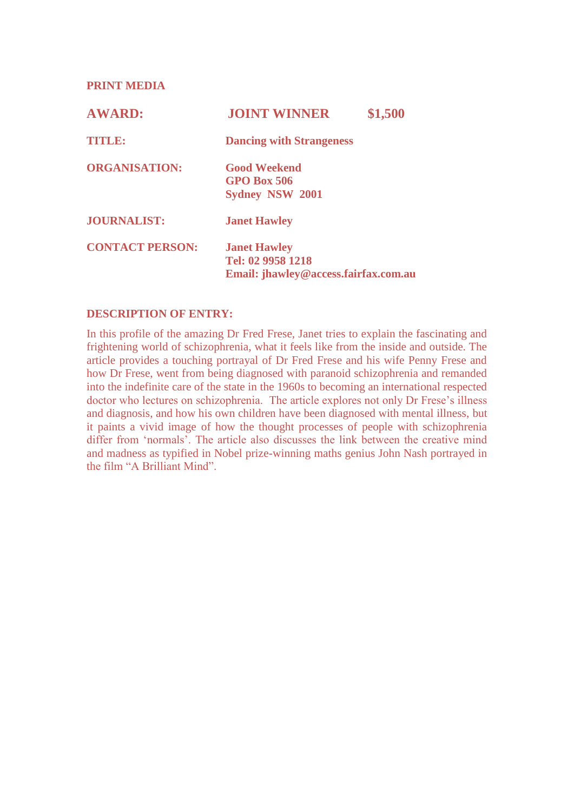**PRINT MEDIA** 

| <b>AWARD:</b>          | <b>JOINT WINNER</b><br>\$1,500                                                   |
|------------------------|----------------------------------------------------------------------------------|
| <b>TITLE:</b>          | <b>Dancing with Strangeness</b>                                                  |
| <b>ORGANISATION:</b>   | <b>Good Weekend</b><br><b>GPO Box 506</b><br><b>Sydney NSW 2001</b>              |
| <b>JOURNALIST:</b>     | <b>Janet Hawley</b>                                                              |
| <b>CONTACT PERSON:</b> | <b>Janet Hawley</b><br>Tel: 02 9958 1218<br>Email: jhawley@access.fairfax.com.au |

# **DESCRIPTION OF ENTRY:**

In this profile of the amazing Dr Fred Frese, Janet tries to explain the fascinating and frightening world of schizophrenia, what it feels like from the inside and outside. The article provides a touching portrayal of Dr Fred Frese and his wife Penny Frese and how Dr Frese, went from being diagnosed with paranoid schizophrenia and remanded into the indefinite care of the state in the 1960s to becoming an international respected doctor who lectures on schizophrenia. The article explores not only Dr Frese's illness and diagnosis, and how his own children have been diagnosed with mental illness, but it paints a vivid image of how the thought processes of people with schizophrenia differ from 'normals'. The article also discusses the link between the creative mind and madness as typified in Nobel prize-winning maths genius John Nash portrayed in the film "A Brilliant Mind".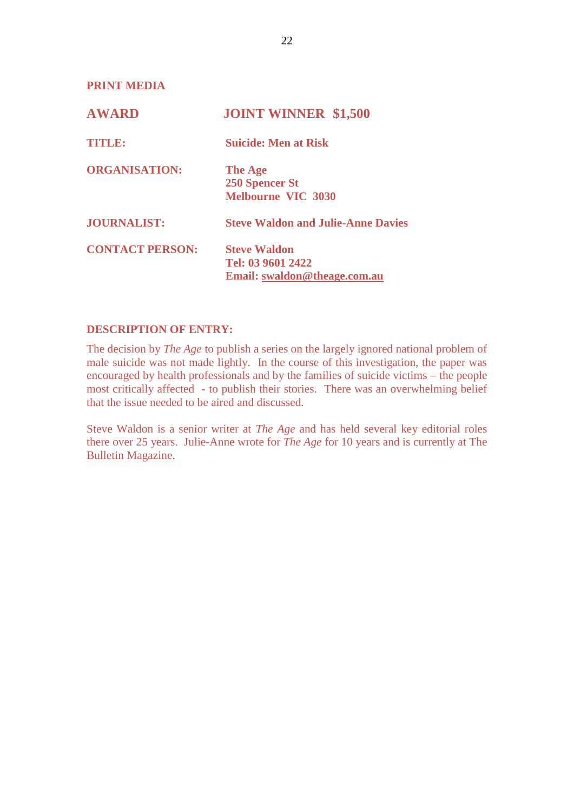**PRINT MEDIA** 

| <b>AWARD</b>           | <b>JOINT WINNER \$1,500</b>               |
|------------------------|-------------------------------------------|
| <b>TITLE:</b>          | <b>Suicide: Men at Risk</b>               |
| <b>ORGANISATION:</b>   | <b>The Age</b><br><b>250 Spencer St</b>   |
|                        | <b>Melbourne VIC 3030</b>                 |
| <b>JOURNALIST:</b>     | <b>Steve Waldon and Julie-Anne Davies</b> |
| <b>CONTACT PERSON:</b> | <b>Steve Waldon</b>                       |
|                        | Tel: 03 9601 2422                         |
|                        | Email: swaldon@theage.com.au              |

# **DESCRIPTION OF ENTRY:**

The decision by *The Age* to publish a series on the largely ignored national problem of male suicide was not made lightly. In the course of this investigation, the paper was encouraged by health professionals and by the families of suicide victims – the people most critically affected - to publish their stories. There was an overwhelming belief that the issue needed to be aired and discussed.

Steve Waldon is a senior writer at *The Age* and has held several key editorial roles there over 25 years. Julie-Anne wrote for *The Age* for 10 years and is currently at The Bulletin Magazine.